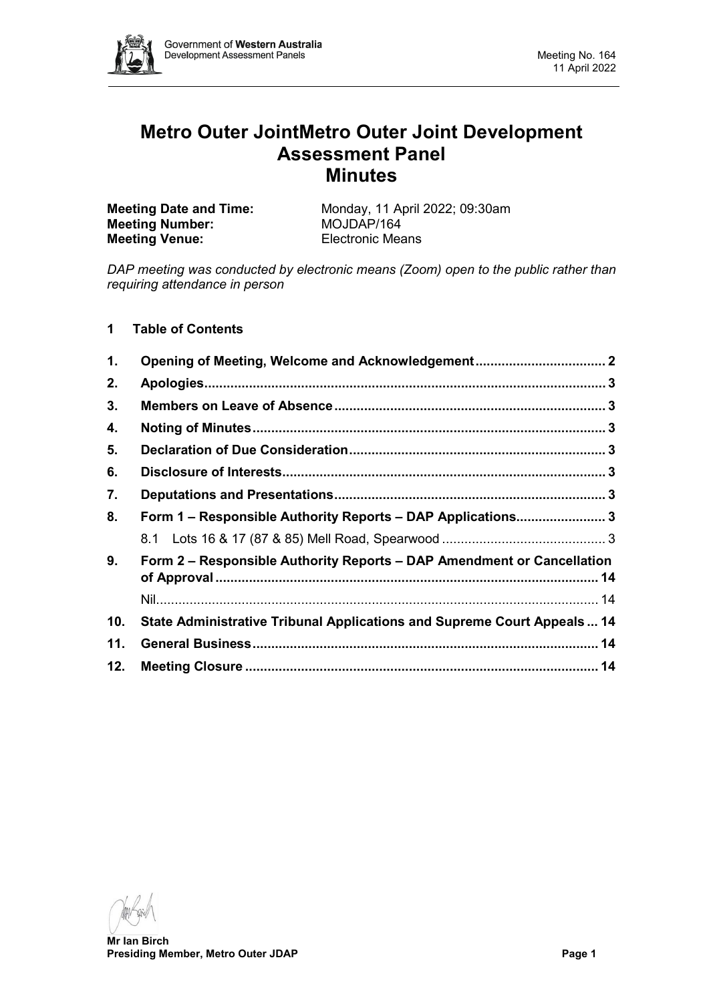

# **Metro Outer JointMetro Outer Joint Development Assessment Panel Minutes**

| <b>Meeting Date and Time:</b> | Monday, 11 April 2022; 09:30am |
|-------------------------------|--------------------------------|
| <b>Meeting Number:</b>        | MOJDAP/164                     |
| <b>Meeting Venue:</b>         | <b>Electronic Means</b>        |

*DAP meeting was conducted by electronic means (Zoom) open to the public rather than requiring attendance in person*

# **1 Table of Contents**

| 1.  | Opening of Meeting, Welcome and Acknowledgement 2                       |  |  |  |
|-----|-------------------------------------------------------------------------|--|--|--|
| 2.  |                                                                         |  |  |  |
| 3.  |                                                                         |  |  |  |
| 4.  |                                                                         |  |  |  |
| 5.  |                                                                         |  |  |  |
| 6.  |                                                                         |  |  |  |
| 7.  |                                                                         |  |  |  |
| 8.  | Form 1 - Responsible Authority Reports - DAP Applications 3             |  |  |  |
|     |                                                                         |  |  |  |
| 9.  | Form 2 – Responsible Authority Reports – DAP Amendment or Cancellation  |  |  |  |
|     |                                                                         |  |  |  |
| 10. | State Administrative Tribunal Applications and Supreme Court Appeals 14 |  |  |  |
| 11. |                                                                         |  |  |  |
| 12. |                                                                         |  |  |  |

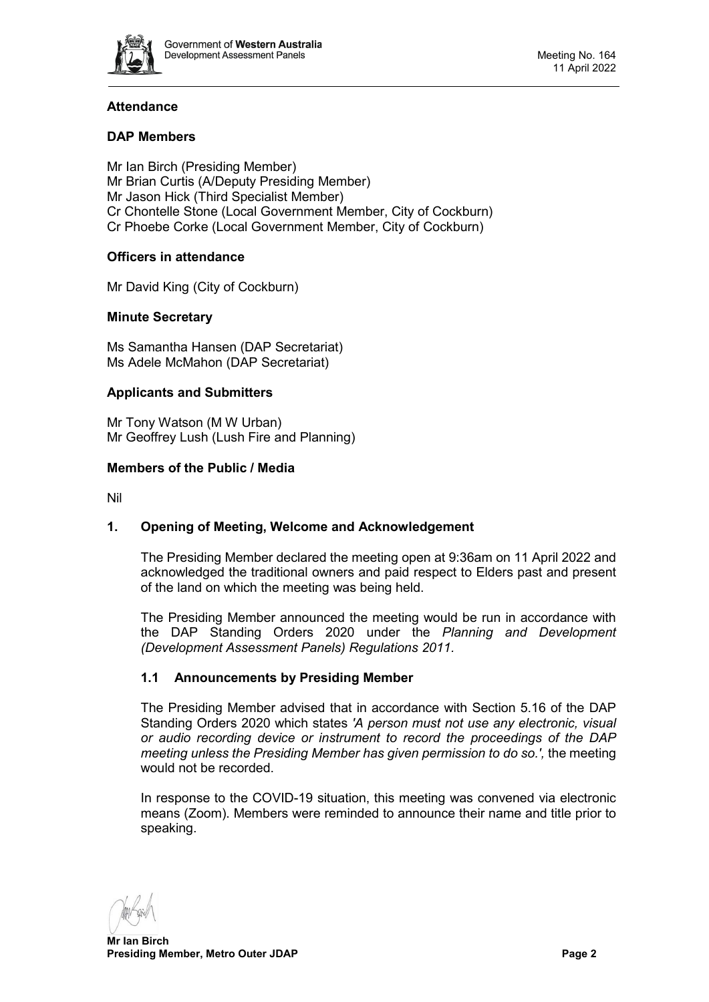

# **Attendance**

# **DAP Members**

Mr Ian Birch (Presiding Member) Mr Brian Curtis (A/Deputy Presiding Member) Mr Jason Hick (Third Specialist Member) Cr Chontelle Stone (Local Government Member, City of Cockburn) Cr Phoebe Corke (Local Government Member, City of Cockburn)

# **Officers in attendance**

Mr David King (City of Cockburn)

# **Minute Secretary**

Ms Samantha Hansen (DAP Secretariat) Ms Adele McMahon (DAP Secretariat)

## **Applicants and Submitters**

Mr Tony Watson (M W Urban) Mr Geoffrey Lush (Lush Fire and Planning)

#### **Members of the Public / Media**

Nil

# <span id="page-1-0"></span>**1. Opening of Meeting, Welcome and Acknowledgement**

The Presiding Member declared the meeting open at 9:36am on 11 April 2022 and acknowledged the traditional owners and paid respect to Elders past and present of the land on which the meeting was being held.

The Presiding Member announced the meeting would be run in accordance with the DAP Standing Orders 2020 under the *Planning and Development (Development Assessment Panels) Regulations 2011.*

## **1.1 Announcements by Presiding Member**

The Presiding Member advised that in accordance with Section 5.16 of the DAP Standing Orders 2020 which states *'A person must not use any electronic, visual or audio recording device or instrument to record the proceedings of the DAP meeting unless the Presiding Member has given permission to do so.',* the meeting would not be recorded.

In response to the COVID-19 situation, this meeting was convened via electronic means (Zoom). Members were reminded to announce their name and title prior to speaking.

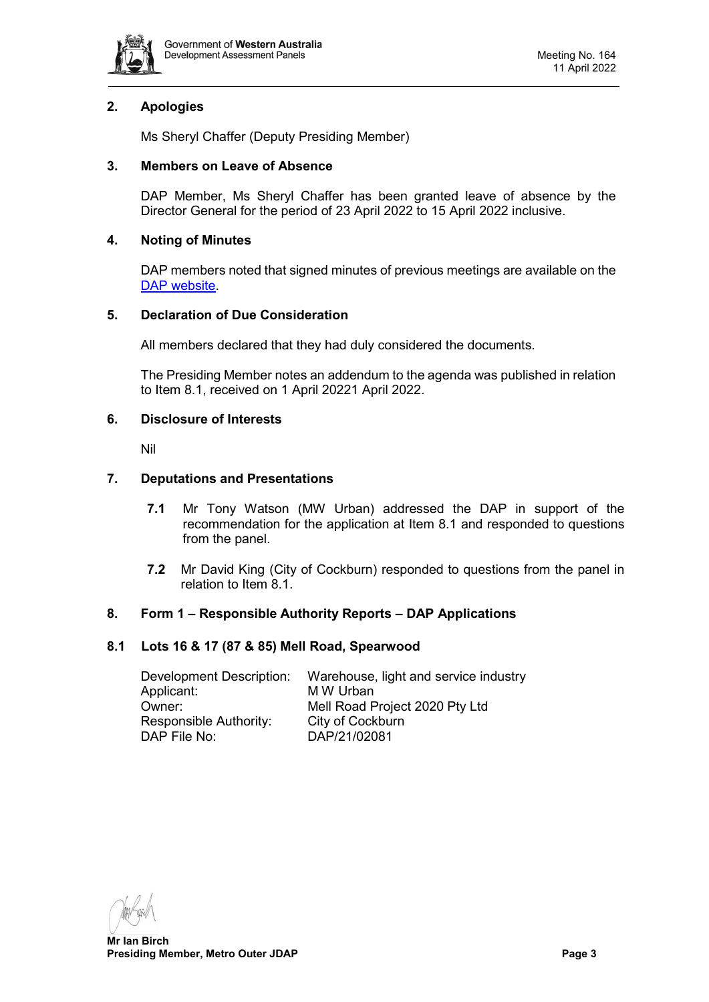

# <span id="page-2-0"></span>**2. Apologies**

Ms Sheryl Chaffer (Deputy Presiding Member)

# <span id="page-2-1"></span>**3. Members on Leave of Absence**

DAP Member, Ms Sheryl Chaffer has been granted leave of absence by the Director General for the period of 23 April 2022 to 15 April 2022 inclusive.

# <span id="page-2-2"></span>**4. Noting of Minutes**

DAP members noted that signed minutes of previous meetings are available on the [DAP website.](https://www.dplh.wa.gov.au/about/development-assessment-panels/daps-agendas-and-minutes)

## <span id="page-2-3"></span>**5. Declaration of Due Consideration**

All members declared that they had duly considered the documents.

The Presiding Member notes an addendum to the agenda was published in relation to Item 8.1, received on 1 April 20221 April 2022.

#### <span id="page-2-4"></span>**6. Disclosure of Interests**

Nil

## <span id="page-2-5"></span>**7. Deputations and Presentations**

- **7.1** Mr Tony Watson (MW Urban) addressed the DAP in support of the recommendation for the application at Item 8.1 and responded to questions from the panel.
- **7.2** Mr David King (City of Cockburn) responded to questions from the panel in relation to Item 8.1.

## <span id="page-2-6"></span>**8. Form 1 – Responsible Authority Reports – DAP Applications**

## <span id="page-2-7"></span>**8.1 Lots 16 & 17 (87 & 85) Mell Road, Spearwood**

Development Description: Warehouse, light and service industry Applicant: M W Urban Owner: Mell Road Project 2020 Pty Ltd Responsible Authority: City of Cockburn<br>DAP File No: DAP/21/02081 DAP/21/02081

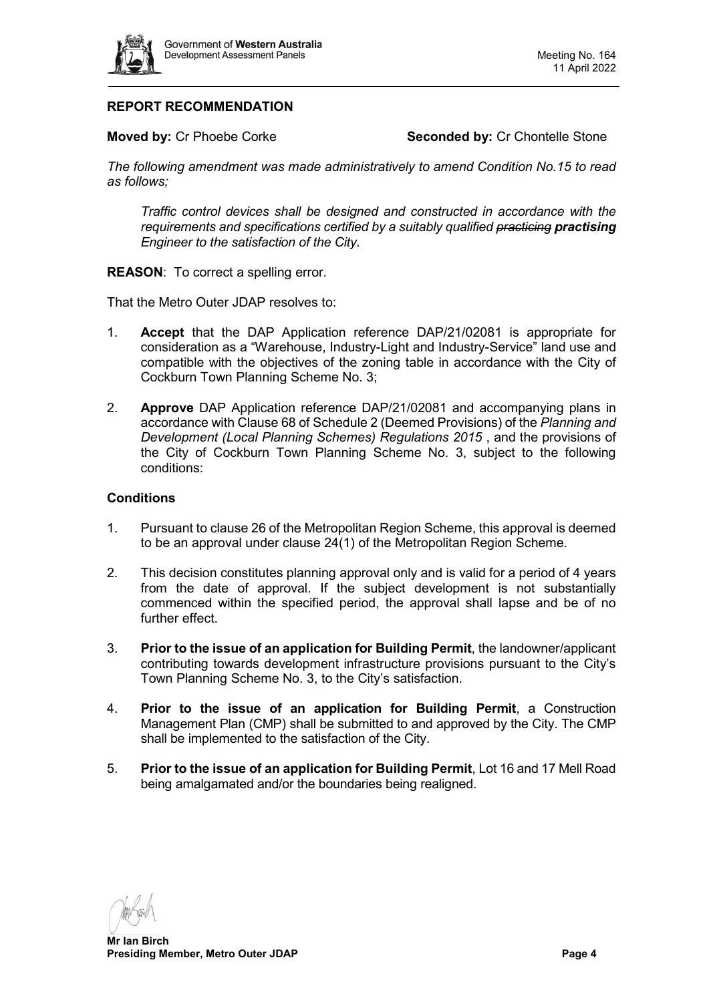

# **REPORT RECOMMENDATION**

**Moved by:** Cr Phoebe Corke **Seconded by:** Cr Chontelle Stone

*The following amendment was made administratively to amend Condition No.15 to read as follows;*

*Traffic control devices shall be designed and constructed in accordance with the requirements and specifications certified by a suitably qualified practicing practising Engineer to the satisfaction of the City.*

**REASON:** To correct a spelling error.

That the Metro Outer JDAP resolves to:

- 1. **Accept** that the DAP Application reference DAP/21/02081 is appropriate for consideration as a "Warehouse, Industry-Light and Industry-Service" land use and compatible with the objectives of the zoning table in accordance with the City of Cockburn Town Planning Scheme No. 3;
- 2. **Approve** DAP Application reference DAP/21/02081 and accompanying plans in accordance with Clause 68 of Schedule 2 (Deemed Provisions) of the *Planning and Development (Local Planning Schemes) Regulations 2015*, and the provisions of the City of Cockburn Town Planning Scheme No. 3, subject to the following conditions:

#### **Conditions**

- 1. Pursuant to clause 26 of the Metropolitan Region Scheme, this approval is deemed to be an approval under clause 24(1) of the Metropolitan Region Scheme.
- 2. This decision constitutes planning approval only and is valid for a period of 4 years from the date of approval. If the subject development is not substantially commenced within the specified period, the approval shall lapse and be of no further effect.
- 3. **Prior to the issue of an application for Building Permit**, the landowner/applicant contributing towards development infrastructure provisions pursuant to the City's Town Planning Scheme No. 3, to the City's satisfaction.
- 4. **Prior to the issue of an application for Building Permit**, a Construction Management Plan (CMP) shall be submitted to and approved by the City. The CMP shall be implemented to the satisfaction of the City.
- 5. **Prior to the issue of an application for Building Permit**, Lot 16 and 17 Mell Road being amalgamated and/or the boundaries being realigned.

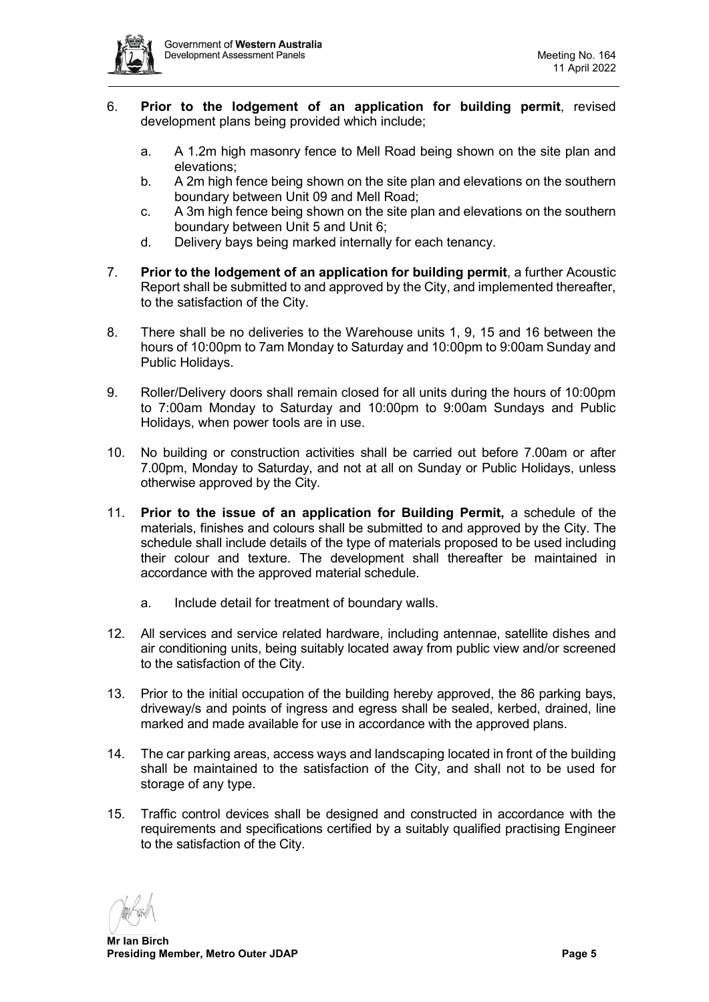

- 6. **Prior to the lodgement of an application for building permit**, revised development plans being provided which include;
	- a. A 1.2m high masonry fence to Mell Road being shown on the site plan and elevations;
	- b. A 2m high fence being shown on the site plan and elevations on the southern boundary between Unit 09 and Mell Road;
	- c. A 3m high fence being shown on the site plan and elevations on the southern boundary between Unit 5 and Unit 6;
	- d. Delivery bays being marked internally for each tenancy.
- 7. **Prior to the lodgement of an application for building permit**, a further Acoustic Report shall be submitted to and approved by the City, and implemented thereafter, to the satisfaction of the City.
- 8. There shall be no deliveries to the Warehouse units 1, 9, 15 and 16 between the hours of 10:00pm to 7am Monday to Saturday and 10:00pm to 9:00am Sunday and Public Holidays.
- 9. Roller/Delivery doors shall remain closed for all units during the hours of 10:00pm to 7:00am Monday to Saturday and 10:00pm to 9:00am Sundays and Public Holidays, when power tools are in use.
- 10. No building or construction activities shall be carried out before 7.00am or after 7.00pm, Monday to Saturday, and not at all on Sunday or Public Holidays, unless otherwise approved by the City.
- 11. **Prior to the issue of an application for Building Permit,** a schedule of the materials, finishes and colours shall be submitted to and approved by the City. The schedule shall include details of the type of materials proposed to be used including their colour and texture. The development shall thereafter be maintained in accordance with the approved material schedule.
	- a. Include detail for treatment of boundary walls.
- 12. All services and service related hardware, including antennae, satellite dishes and air conditioning units, being suitably located away from public view and/or screened to the satisfaction of the City.
- 13. Prior to the initial occupation of the building hereby approved, the 86 parking bays, driveway/s and points of ingress and egress shall be sealed, kerbed, drained, line marked and made available for use in accordance with the approved plans.
- 14. The car parking areas, access ways and landscaping located in front of the building shall be maintained to the satisfaction of the City, and shall not to be used for storage of any type.
- 15. Traffic control devices shall be designed and constructed in accordance with the requirements and specifications certified by a suitably qualified practising Engineer to the satisfaction of the City.

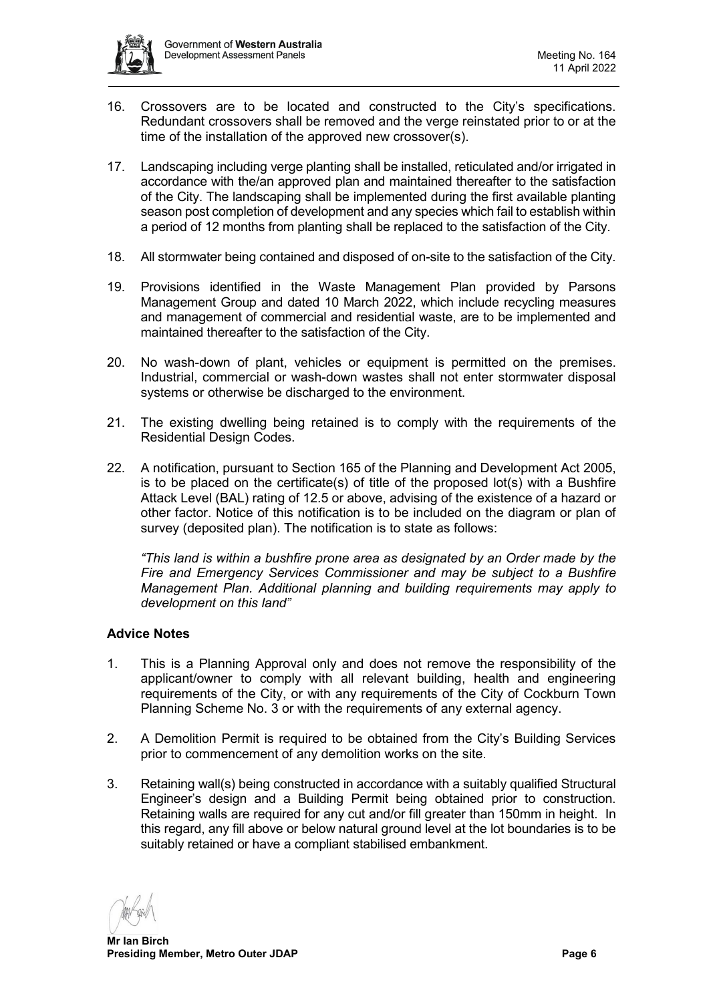

- 16. Crossovers are to be located and constructed to the City's specifications. Redundant crossovers shall be removed and the verge reinstated prior to or at the time of the installation of the approved new crossover(s).
- 17. Landscaping including verge planting shall be installed, reticulated and/or irrigated in accordance with the/an approved plan and maintained thereafter to the satisfaction of the City. The landscaping shall be implemented during the first available planting season post completion of development and any species which fail to establish within a period of 12 months from planting shall be replaced to the satisfaction of the City.
- 18. All stormwater being contained and disposed of on-site to the satisfaction of the City.
- 19. Provisions identified in the Waste Management Plan provided by Parsons Management Group and dated 10 March 2022, which include recycling measures and management of commercial and residential waste, are to be implemented and maintained thereafter to the satisfaction of the City.
- 20. No wash-down of plant, vehicles or equipment is permitted on the premises. Industrial, commercial or wash-down wastes shall not enter stormwater disposal systems or otherwise be discharged to the environment.
- 21. The existing dwelling being retained is to comply with the requirements of the Residential Design Codes.
- 22. A notification, pursuant to Section 165 of the Planning and Development Act 2005, is to be placed on the certificate(s) of title of the proposed lot(s) with a Bushfire Attack Level (BAL) rating of 12.5 or above, advising of the existence of a hazard or other factor. Notice of this notification is to be included on the diagram or plan of survey (deposited plan). The notification is to state as follows:

*"This land is within a bushfire prone area as designated by an Order made by the Fire and Emergency Services Commissioner and may be subject to a Bushfire Management Plan. Additional planning and building requirements may apply to development on this land"*

## **Advice Notes**

- 1. This is a Planning Approval only and does not remove the responsibility of the applicant/owner to comply with all relevant building, health and engineering requirements of the City, or with any requirements of the City of Cockburn Town Planning Scheme No. 3 or with the requirements of any external agency.
- 2. A Demolition Permit is required to be obtained from the City's Building Services prior to commencement of any demolition works on the site.
- 3. Retaining wall(s) being constructed in accordance with a suitably qualified Structural Engineer's design and a Building Permit being obtained prior to construction. Retaining walls are required for any cut and/or fill greater than 150mm in height. In this regard, any fill above or below natural ground level at the lot boundaries is to be suitably retained or have a compliant stabilised embankment.

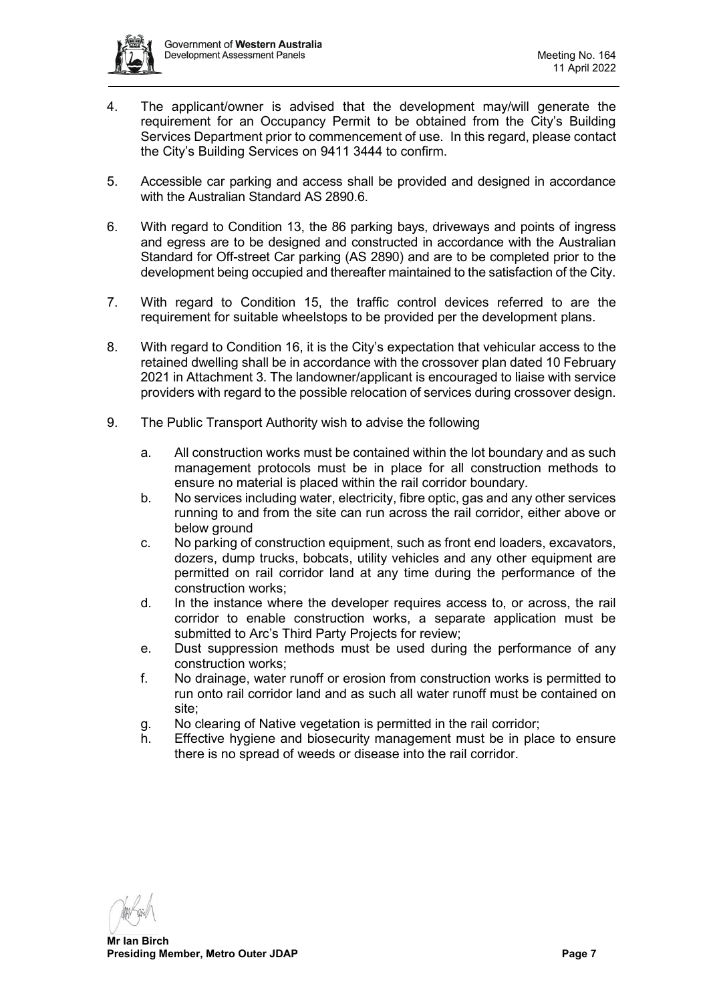

- 4. The applicant/owner is advised that the development may/will generate the requirement for an Occupancy Permit to be obtained from the City's Building Services Department prior to commencement of use. In this regard, please contact the City's Building Services on 9411 3444 to confirm.
- 5. Accessible car parking and access shall be provided and designed in accordance with the Australian Standard AS 2890.6.
- 6. With regard to Condition 13, the 86 parking bays, driveways and points of ingress and egress are to be designed and constructed in accordance with the Australian Standard for Off-street Car parking (AS 2890) and are to be completed prior to the development being occupied and thereafter maintained to the satisfaction of the City.
- 7. With regard to Condition 15, the traffic control devices referred to are the requirement for suitable wheelstops to be provided per the development plans.
- 8. With regard to Condition 16, it is the City's expectation that vehicular access to the retained dwelling shall be in accordance with the crossover plan dated 10 February 2021 in Attachment 3. The landowner/applicant is encouraged to liaise with service providers with regard to the possible relocation of services during crossover design.
- 9. The Public Transport Authority wish to advise the following
	- a. All construction works must be contained within the lot boundary and as such management protocols must be in place for all construction methods to ensure no material is placed within the rail corridor boundary.
	- b. No services including water, electricity, fibre optic, gas and any other services running to and from the site can run across the rail corridor, either above or below ground
	- c. No parking of construction equipment, such as front end loaders, excavators, dozers, dump trucks, bobcats, utility vehicles and any other equipment are permitted on rail corridor land at any time during the performance of the construction works;
	- d. In the instance where the developer requires access to, or across, the rail corridor to enable construction works, a separate application must be submitted to Arc's Third Party Projects for review;
	- e. Dust suppression methods must be used during the performance of any construction works;
	- f. No drainage, water runoff or erosion from construction works is permitted to run onto rail corridor land and as such all water runoff must be contained on site;
	- g. No clearing of Native vegetation is permitted in the rail corridor;
	- h. Effective hygiene and biosecurity management must be in place to ensure there is no spread of weeds or disease into the rail corridor.

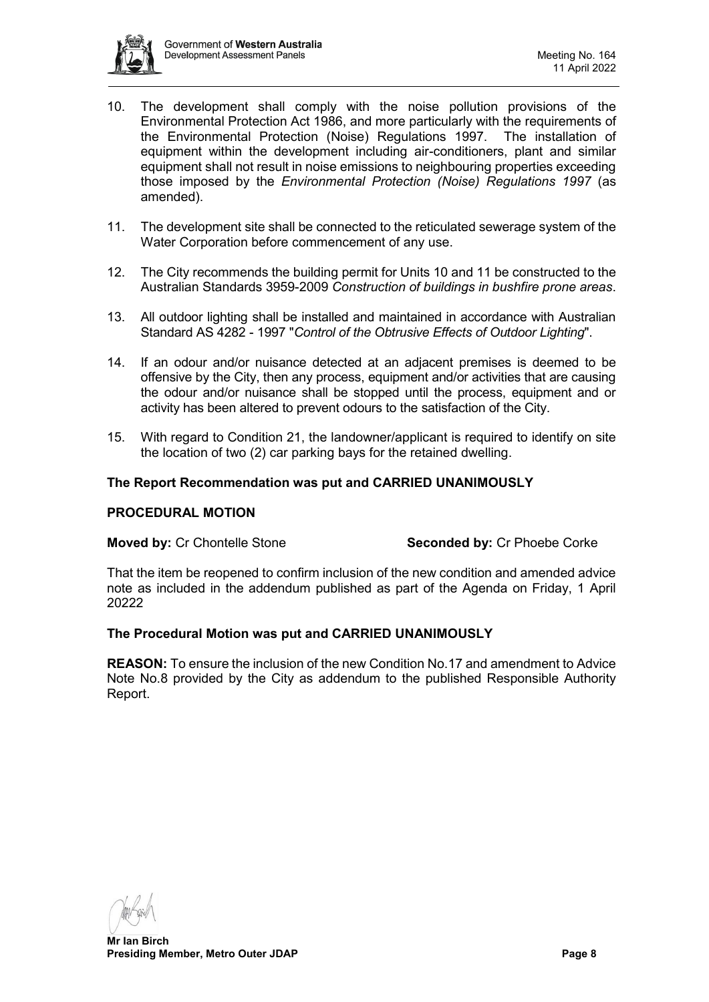

- 10. The development shall comply with the noise pollution provisions of the Environmental Protection Act 1986, and more particularly with the requirements of the Environmental Protection (Noise) Regulations 1997. The installation of equipment within the development including air-conditioners, plant and similar equipment shall not result in noise emissions to neighbouring properties exceeding those imposed by the *Environmental Protection (Noise) Regulations 1997* (as amended).
- 11. The development site shall be connected to the reticulated sewerage system of the Water Corporation before commencement of any use.
- 12. The City recommends the building permit for Units 10 and 11 be constructed to the Australian Standards 3959-2009 *Construction of buildings in bushfire prone areas*.
- 13. All outdoor lighting shall be installed and maintained in accordance with Australian Standard AS 4282 - 1997 "*Control of the Obtrusive Effects of Outdoor Lighting*".
- 14. If an odour and/or nuisance detected at an adjacent premises is deemed to be offensive by the City, then any process, equipment and/or activities that are causing the odour and/or nuisance shall be stopped until the process, equipment and or activity has been altered to prevent odours to the satisfaction of the City.
- 15. With regard to Condition 21, the landowner/applicant is required to identify on site the location of two (2) car parking bays for the retained dwelling.

#### **The Report Recommendation was put and CARRIED UNANIMOUSLY**

#### **PROCEDURAL MOTION**

#### **Moved by:** Cr Chontelle Stone **Seconded by:** Cr Phoebe Corke

That the item be reopened to confirm inclusion of the new condition and amended advice note as included in the addendum published as part of the Agenda on Friday, 1 April 20222

#### **The Procedural Motion was put and CARRIED UNANIMOUSLY**

**REASON:** To ensure the inclusion of the new Condition No.17 and amendment to Advice Note No.8 provided by the City as addendum to the published Responsible Authority Report.

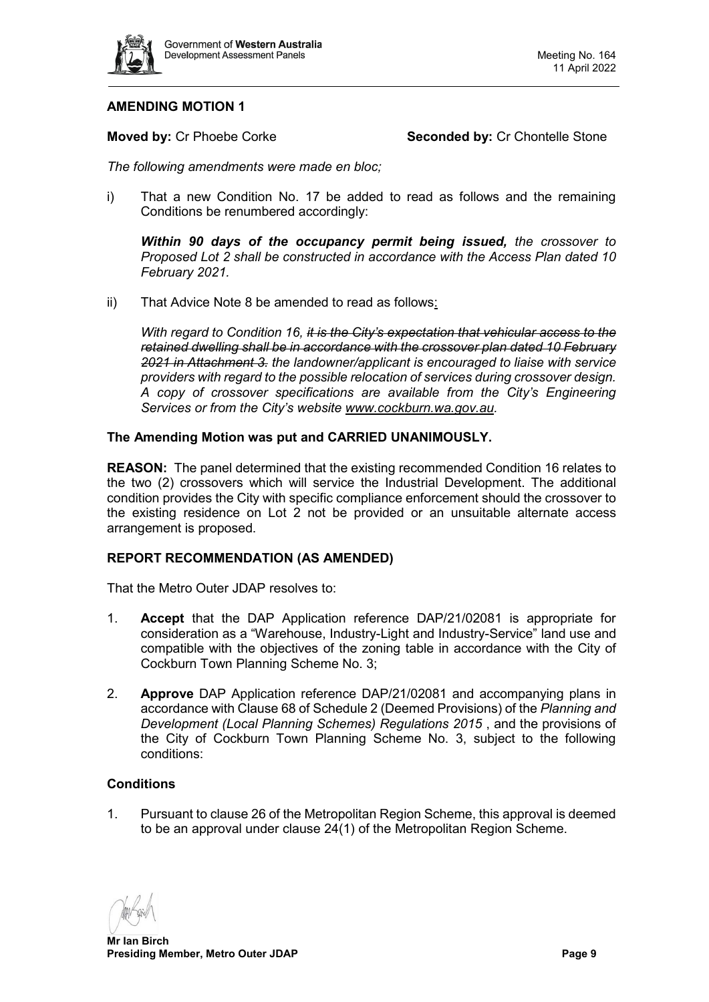

# **AMENDING MOTION 1**

**Moved by:** Cr Phoebe Corke **Seconded by:** Cr Chontelle Stone

*The following amendments were made en bloc;*

i) That a new Condition No. 17 be added to read as follows and the remaining Conditions be renumbered accordingly:

*Within 90 days of the occupancy permit being issued, the crossover to Proposed Lot 2 shall be constructed in accordance with the Access Plan dated 10 February 2021.*

ii) That Advice Note 8 be amended to read as follows:

*With regard to Condition 16, it is the City's expectation that vehicular access to the retained dwelling shall be in accordance with the crossover plan dated 10 February 2021 in Attachment 3. the landowner/applicant is encouraged to liaise with service providers with regard to the possible relocation of services during crossover design. A copy of crossover specifications are available from the City's Engineering Services or from the City's website [www.cockburn.wa.gov.au.](https://aus01.safelinks.protection.outlook.com/?url=http%3A%2F%2Fwww.cockburn.wa.gov.au%2F&data=04%7C01%7Cdaps%40dplh.wa.gov.au%7Cc3a97b3b63004762a1aa08da13b6d480%7C1077f4f66cad4f1d99949421a25eaa3f%7C0%7C0%7C637843973215408455%7CUnknown%7CTWFpbGZsb3d8eyJWIjoiMC4wLjAwMDAiLCJQIjoiV2luMzIiLCJBTiI6Ik1haWwiLCJXVCI6Mn0%3D%7C3000&sdata=P5bLnHzjmoorMGZrmu8da2NeHzCx06exznyzEFQH%2F0w%3D&reserved=0)*

#### **The Amending Motion was put and CARRIED UNANIMOUSLY.**

**REASON:** The panel determined that the existing recommended Condition 16 relates to the two (2) crossovers which will service the Industrial Development. The additional condition provides the City with specific compliance enforcement should the crossover to the existing residence on Lot 2 not be provided or an unsuitable alternate access arrangement is proposed.

## **REPORT RECOMMENDATION (AS AMENDED)**

That the Metro Outer JDAP resolves to:

- 1. **Accept** that the DAP Application reference DAP/21/02081 is appropriate for consideration as a "Warehouse, Industry-Light and Industry-Service" land use and compatible with the objectives of the zoning table in accordance with the City of Cockburn Town Planning Scheme No. 3;
- 2. **Approve** DAP Application reference DAP/21/02081 and accompanying plans in accordance with Clause 68 of Schedule 2 (Deemed Provisions) of the *Planning and Development (Local Planning Schemes) Regulations 2015*, and the provisions of the City of Cockburn Town Planning Scheme No. 3, subject to the following conditions:

## **Conditions**

1. Pursuant to clause 26 of the Metropolitan Region Scheme, this approval is deemed to be an approval under clause 24(1) of the Metropolitan Region Scheme.

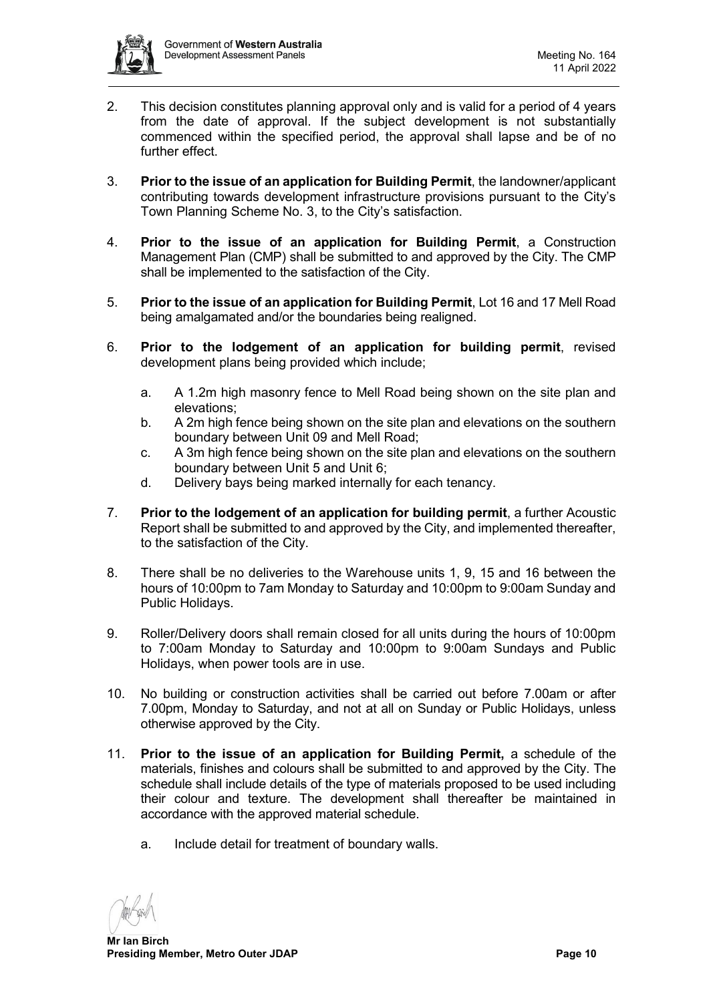

- 2. This decision constitutes planning approval only and is valid for a period of 4 years from the date of approval. If the subject development is not substantially commenced within the specified period, the approval shall lapse and be of no further effect.
- 3. **Prior to the issue of an application for Building Permit**, the landowner/applicant contributing towards development infrastructure provisions pursuant to the City's Town Planning Scheme No. 3, to the City's satisfaction.
- 4. **Prior to the issue of an application for Building Permit**, a Construction Management Plan (CMP) shall be submitted to and approved by the City. The CMP shall be implemented to the satisfaction of the City.
- 5. **Prior to the issue of an application for Building Permit**, Lot 16 and 17 Mell Road being amalgamated and/or the boundaries being realigned.
- 6. **Prior to the lodgement of an application for building permit**, revised development plans being provided which include;
	- a. A 1.2m high masonry fence to Mell Road being shown on the site plan and elevations;
	- b. A 2m high fence being shown on the site plan and elevations on the southern boundary between Unit 09 and Mell Road;
	- c. A 3m high fence being shown on the site plan and elevations on the southern boundary between Unit 5 and Unit 6;
	- d. Delivery bays being marked internally for each tenancy.
- 7. **Prior to the lodgement of an application for building permit**, a further Acoustic Report shall be submitted to and approved by the City, and implemented thereafter, to the satisfaction of the City.
- 8. There shall be no deliveries to the Warehouse units 1, 9, 15 and 16 between the hours of 10:00pm to 7am Monday to Saturday and 10:00pm to 9:00am Sunday and Public Holidays.
- 9. Roller/Delivery doors shall remain closed for all units during the hours of 10:00pm to 7:00am Monday to Saturday and 10:00pm to 9:00am Sundays and Public Holidays, when power tools are in use.
- 10. No building or construction activities shall be carried out before 7.00am or after 7.00pm, Monday to Saturday, and not at all on Sunday or Public Holidays, unless otherwise approved by the City.
- 11. **Prior to the issue of an application for Building Permit,** a schedule of the materials, finishes and colours shall be submitted to and approved by the City. The schedule shall include details of the type of materials proposed to be used including their colour and texture. The development shall thereafter be maintained in accordance with the approved material schedule.
	- a. Include detail for treatment of boundary walls.

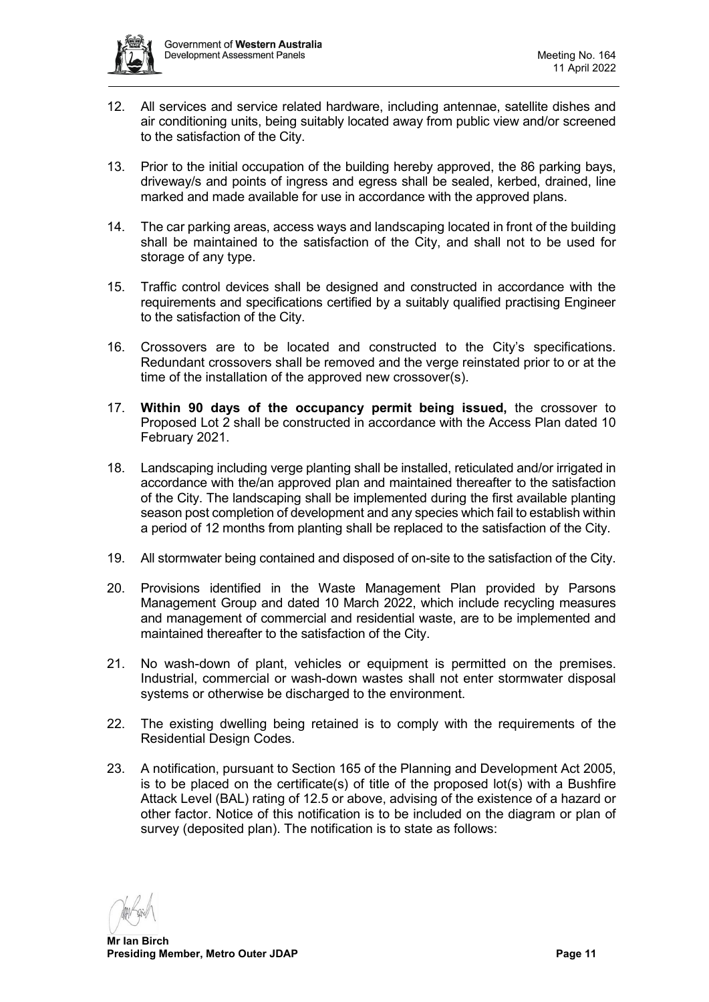

- 12. All services and service related hardware, including antennae, satellite dishes and air conditioning units, being suitably located away from public view and/or screened to the satisfaction of the City.
- 13. Prior to the initial occupation of the building hereby approved, the 86 parking bays, driveway/s and points of ingress and egress shall be sealed, kerbed, drained, line marked and made available for use in accordance with the approved plans.
- 14. The car parking areas, access ways and landscaping located in front of the building shall be maintained to the satisfaction of the City, and shall not to be used for storage of any type.
- 15. Traffic control devices shall be designed and constructed in accordance with the requirements and specifications certified by a suitably qualified practising Engineer to the satisfaction of the City.
- 16. Crossovers are to be located and constructed to the City's specifications. Redundant crossovers shall be removed and the verge reinstated prior to or at the time of the installation of the approved new crossover(s).
- 17. **Within 90 days of the occupancy permit being issued,** the crossover to Proposed Lot 2 shall be constructed in accordance with the Access Plan dated 10 February 2021.
- 18. Landscaping including verge planting shall be installed, reticulated and/or irrigated in accordance with the/an approved plan and maintained thereafter to the satisfaction of the City. The landscaping shall be implemented during the first available planting season post completion of development and any species which fail to establish within a period of 12 months from planting shall be replaced to the satisfaction of the City.
- 19. All stormwater being contained and disposed of on-site to the satisfaction of the City.
- 20. Provisions identified in the Waste Management Plan provided by Parsons Management Group and dated 10 March 2022, which include recycling measures and management of commercial and residential waste, are to be implemented and maintained thereafter to the satisfaction of the City.
- 21. No wash-down of plant, vehicles or equipment is permitted on the premises. Industrial, commercial or wash-down wastes shall not enter stormwater disposal systems or otherwise be discharged to the environment.
- 22. The existing dwelling being retained is to comply with the requirements of the Residential Design Codes.
- 23. A notification, pursuant to Section 165 of the Planning and Development Act 2005, is to be placed on the certificate(s) of title of the proposed lot(s) with a Bushfire Attack Level (BAL) rating of 12.5 or above, advising of the existence of a hazard or other factor. Notice of this notification is to be included on the diagram or plan of survey (deposited plan). The notification is to state as follows:

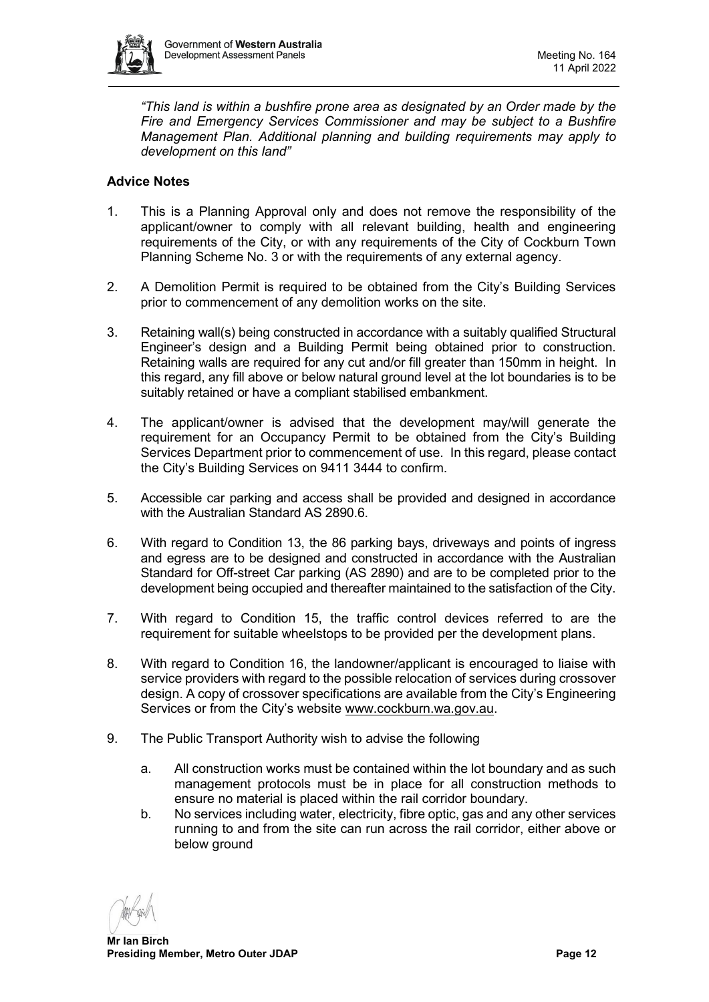

*"This land is within a bushfire prone area as designated by an Order made by the Fire and Emergency Services Commissioner and may be subject to a Bushfire Management Plan. Additional planning and building requirements may apply to development on this land"*

# **Advice Notes**

- 1. This is a Planning Approval only and does not remove the responsibility of the applicant/owner to comply with all relevant building, health and engineering requirements of the City, or with any requirements of the City of Cockburn Town Planning Scheme No. 3 or with the requirements of any external agency.
- 2. A Demolition Permit is required to be obtained from the City's Building Services prior to commencement of any demolition works on the site.
- 3. Retaining wall(s) being constructed in accordance with a suitably qualified Structural Engineer's design and a Building Permit being obtained prior to construction. Retaining walls are required for any cut and/or fill greater than 150mm in height. In this regard, any fill above or below natural ground level at the lot boundaries is to be suitably retained or have a compliant stabilised embankment.
- 4. The applicant/owner is advised that the development may/will generate the requirement for an Occupancy Permit to be obtained from the City's Building Services Department prior to commencement of use. In this regard, please contact the City's Building Services on 9411 3444 to confirm.
- 5. Accessible car parking and access shall be provided and designed in accordance with the Australian Standard AS 2890.6.
- 6. With regard to Condition 13, the 86 parking bays, driveways and points of ingress and egress are to be designed and constructed in accordance with the Australian Standard for Off-street Car parking (AS 2890) and are to be completed prior to the development being occupied and thereafter maintained to the satisfaction of the City.
- 7. With regard to Condition 15, the traffic control devices referred to are the requirement for suitable wheelstops to be provided per the development plans.
- 8. With regard to Condition 16, the landowner/applicant is encouraged to liaise with service providers with regard to the possible relocation of services during crossover design. A copy of crossover specifications are available from the City's Engineering Services or from the City's website [www.cockburn.wa.gov.au.](https://aus01.safelinks.protection.outlook.com/?url=http%3A%2F%2Fwww.cockburn.wa.gov.au%2F&data=04%7C01%7Cdaps%40dplh.wa.gov.au%7Cc3a97b3b63004762a1aa08da13b6d480%7C1077f4f66cad4f1d99949421a25eaa3f%7C0%7C0%7C637843973215408455%7CUnknown%7CTWFpbGZsb3d8eyJWIjoiMC4wLjAwMDAiLCJQIjoiV2luMzIiLCJBTiI6Ik1haWwiLCJXVCI6Mn0%3D%7C3000&sdata=P5bLnHzjmoorMGZrmu8da2NeHzCx06exznyzEFQH%2F0w%3D&reserved=0)
- 9. The Public Transport Authority wish to advise the following
	- a. All construction works must be contained within the lot boundary and as such management protocols must be in place for all construction methods to ensure no material is placed within the rail corridor boundary.
	- b. No services including water, electricity, fibre optic, gas and any other services running to and from the site can run across the rail corridor, either above or below ground

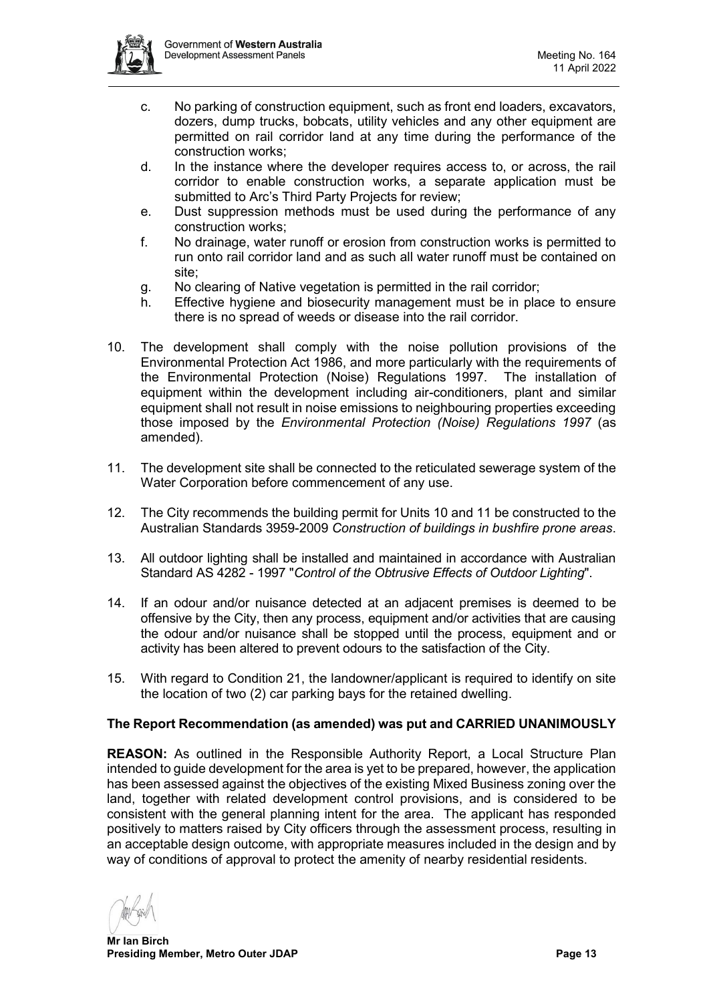

- c. No parking of construction equipment, such as front end loaders, excavators, dozers, dump trucks, bobcats, utility vehicles and any other equipment are permitted on rail corridor land at any time during the performance of the construction works;
- d. In the instance where the developer requires access to, or across, the rail corridor to enable construction works, a separate application must be submitted to Arc's Third Party Projects for review;
- e. Dust suppression methods must be used during the performance of any construction works;
- f. No drainage, water runoff or erosion from construction works is permitted to run onto rail corridor land and as such all water runoff must be contained on site;
- g. No clearing of Native vegetation is permitted in the rail corridor;
- h. Effective hygiene and biosecurity management must be in place to ensure there is no spread of weeds or disease into the rail corridor.
- 10. The development shall comply with the noise pollution provisions of the Environmental Protection Act 1986, and more particularly with the requirements of the Environmental Protection (Noise) Regulations 1997. The installation of equipment within the development including air-conditioners, plant and similar equipment shall not result in noise emissions to neighbouring properties exceeding those imposed by the *Environmental Protection (Noise) Regulations 1997* (as amended).
- 11. The development site shall be connected to the reticulated sewerage system of the Water Corporation before commencement of any use.
- 12. The City recommends the building permit for Units 10 and 11 be constructed to the Australian Standards 3959-2009 *Construction of buildings in bushfire prone areas*.
- 13. All outdoor lighting shall be installed and maintained in accordance with Australian Standard AS 4282 - 1997 "*Control of the Obtrusive Effects of Outdoor Lighting*".
- 14. If an odour and/or nuisance detected at an adjacent premises is deemed to be offensive by the City, then any process, equipment and/or activities that are causing the odour and/or nuisance shall be stopped until the process, equipment and or activity has been altered to prevent odours to the satisfaction of the City.
- 15. With regard to Condition 21, the landowner/applicant is required to identify on site the location of two (2) car parking bays for the retained dwelling.

## **The Report Recommendation (as amended) was put and CARRIED UNANIMOUSLY**

**REASON:** As outlined in the Responsible Authority Report, a Local Structure Plan intended to guide development for the area is yet to be prepared, however, the application has been assessed against the objectives of the existing Mixed Business zoning over the land, together with related development control provisions, and is considered to be consistent with the general planning intent for the area. The applicant has responded positively to matters raised by City officers through the assessment process, resulting in an acceptable design outcome, with appropriate measures included in the design and by way of conditions of approval to protect the amenity of nearby residential residents.